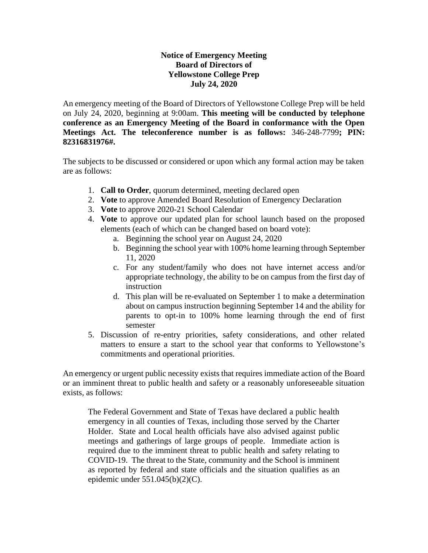## **Notice of Emergency Meeting Board of Directors of Yellowstone College Prep July 24, 2020**

An emergency meeting of the Board of Directors of Yellowstone College Prep will be held on July 24, 2020, beginning at 9:00am. **This meeting will be conducted by telephone conference as an Emergency Meeting of the Board in conformance with the Open Meetings Act. The teleconference number is as follows:** 346-248-7799**; PIN: 82316831976#.**

The subjects to be discussed or considered or upon which any formal action may be taken are as follows:

- 1. **Call to Order**, quorum determined, meeting declared open
- 2. **Vote** to approve Amended Board Resolution of Emergency Declaration
- 3. **Vote** to approve 2020-21 School Calendar
- 4. **Vote** to approve our updated plan for school launch based on the proposed elements (each of which can be changed based on board vote):
	- a. Beginning the school year on August 24, 2020
	- b. Beginning the school year with 100% home learning through September 11, 2020
	- c. For any student/family who does not have internet access and/or appropriate technology, the ability to be on campus from the first day of instruction
	- d. This plan will be re-evaluated on September 1 to make a determination about on campus instruction beginning September 14 and the ability for parents to opt-in to 100% home learning through the end of first semester
- 5. Discussion of re-entry priorities, safety considerations, and other related matters to ensure a start to the school year that conforms to Yellowstone's commitments and operational priorities.

An emergency or urgent public necessity exists that requires immediate action of the Board or an imminent threat to public health and safety or a reasonably unforeseeable situation exists, as follows:

The Federal Government and State of Texas have declared a public health emergency in all counties of Texas, including those served by the Charter Holder. State and Local health officials have also advised against public meetings and gatherings of large groups of people. Immediate action is required due to the imminent threat to public health and safety relating to COVID-19. The threat to the State, community and the School is imminent as reported by federal and state officials and the situation qualifies as an epidemic under  $551.045(b)(2)(C)$ .